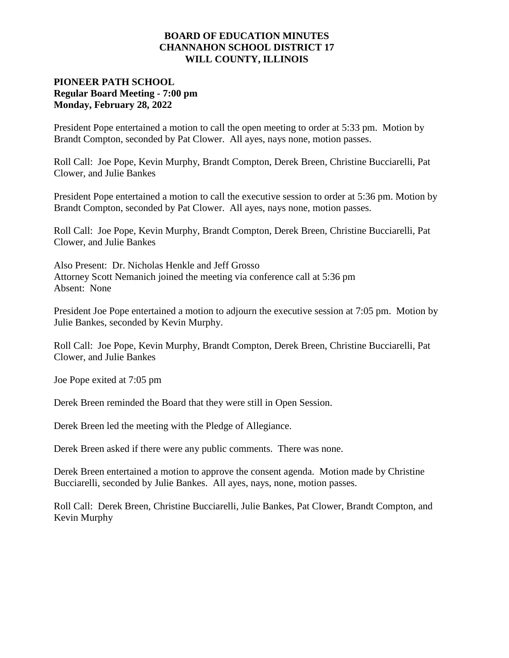### **BOARD OF EDUCATION MINUTES CHANNAHON SCHOOL DISTRICT 17 WILL COUNTY, ILLINOIS**

# **PIONEER PATH SCHOOL Regular Board Meeting - 7:00 pm Monday, February 28, 2022**

President Pope entertained a motion to call the open meeting to order at 5:33 pm. Motion by Brandt Compton, seconded by Pat Clower. All ayes, nays none, motion passes.

Roll Call:Joe Pope, Kevin Murphy, Brandt Compton, Derek Breen, Christine Bucciarelli, Pat Clower, and Julie Bankes

President Pope entertained a motion to call the executive session to order at 5:36 pm. Motion by Brandt Compton, seconded by Pat Clower. All ayes, nays none, motion passes.

Roll Call: Joe Pope, Kevin Murphy, Brandt Compton, Derek Breen, Christine Bucciarelli, Pat Clower, and Julie Bankes

Also Present: Dr. Nicholas Henkle and Jeff Grosso Attorney Scott Nemanich joined the meeting via conference call at 5:36 pm Absent: None

President Joe Pope entertained a motion to adjourn the executive session at 7:05 pm. Motion by Julie Bankes, seconded by Kevin Murphy.

Roll Call: Joe Pope, Kevin Murphy, Brandt Compton, Derek Breen, Christine Bucciarelli, Pat Clower, and Julie Bankes

Joe Pope exited at 7:05 pm

Derek Breen reminded the Board that they were still in Open Session.

Derek Breen led the meeting with the Pledge of Allegiance.

Derek Breen asked if there were any public comments. There was none.

Derek Breen entertained a motion to approve the consent agenda. Motion made by Christine Bucciarelli, seconded by Julie Bankes. All ayes, nays, none, motion passes.

Roll Call: Derek Breen, Christine Bucciarelli, Julie Bankes, Pat Clower, Brandt Compton, and Kevin Murphy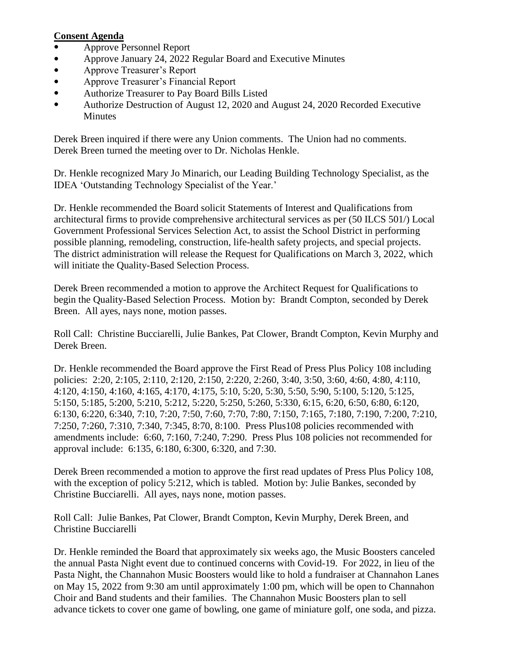## **Consent Agenda**

- Approve Personnel Report
- Approve January 24, 2022 Regular Board and Executive Minutes
- Approve Treasurer's Report
- Approve Treasurer's Financial Report
- Authorize Treasurer to Pay Board Bills Listed
- Authorize Destruction of August 12, 2020 and August 24, 2020 Recorded Executive Minutes

Derek Breen inquired if there were any Union comments. The Union had no comments. Derek Breen turned the meeting over to Dr. Nicholas Henkle.

Dr. Henkle recognized Mary Jo Minarich, our Leading Building Technology Specialist, as the IDEA 'Outstanding Technology Specialist of the Year.'

Dr. Henkle recommended the Board solicit Statements of Interest and Qualifications from architectural firms to provide comprehensive architectural services as per (50 ILCS 501/) Local Government Professional Services Selection Act, to assist the School District in performing possible planning, remodeling, construction, life-health safety projects, and special projects. The district administration will release the Request for Qualifications on March 3, 2022, which will initiate the Quality-Based Selection Process.

Derek Breen recommended a motion to approve the Architect Request for Qualifications to begin the Quality-Based Selection Process. Motion by: Brandt Compton, seconded by Derek Breen. All ayes, nays none, motion passes.

Roll Call: Christine Bucciarelli, Julie Bankes, Pat Clower, Brandt Compton, Kevin Murphy and Derek Breen.

Dr. Henkle recommended the Board approve the First Read of Press Plus Policy 108 including policies: 2:20, 2:105, 2:110, 2:120, 2:150, 2:220, 2:260, 3:40, 3:50, 3:60, 4:60, 4:80, 4:110, 4:120, 4:150, 4:160, 4:165, 4:170, 4:175, 5:10, 5:20, 5:30, 5:50, 5:90, 5:100, 5:120, 5:125, 5:150, 5:185, 5:200, 5:210, 5:212, 5:220, 5:250, 5:260, 5:330, 6:15, 6:20, 6:50, 6:80, 6:120, 6:130, 6:220, 6:340, 7:10, 7:20, 7:50, 7:60, 7:70, 7:80, 7:150, 7:165, 7:180, 7:190, 7:200, 7:210, 7:250, 7:260, 7:310, 7:340, 7:345, 8:70, 8:100. Press Plus108 policies recommended with amendments include: 6:60, 7:160, 7:240, 7:290. Press Plus 108 policies not recommended for approval include: 6:135, 6:180, 6:300, 6:320, and 7:30.

Derek Breen recommended a motion to approve the first read updates of Press Plus Policy 108, with the exception of policy 5:212, which is tabled. Motion by: Julie Bankes, seconded by Christine Bucciarelli. All ayes, nays none, motion passes.

Roll Call: Julie Bankes, Pat Clower, Brandt Compton, Kevin Murphy, Derek Breen, and Christine Bucciarelli

Dr. Henkle reminded the Board that approximately six weeks ago, the Music Boosters canceled the annual Pasta Night event due to continued concerns with Covid-19. For 2022, in lieu of the Pasta Night, the Channahon Music Boosters would like to hold a fundraiser at Channahon Lanes on May 15, 2022 from 9:30 am until approximately 1:00 pm, which will be open to Channahon Choir and Band students and their families. The Channahon Music Boosters plan to sell advance tickets to cover one game of bowling, one game of miniature golf, one soda, and pizza.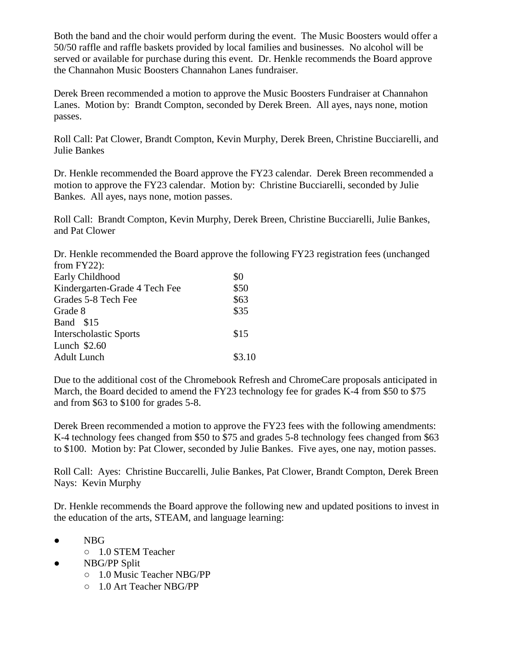Both the band and the choir would perform during the event. The Music Boosters would offer a 50/50 raffle and raffle baskets provided by local families and businesses. No alcohol will be served or available for purchase during this event. Dr. Henkle recommends the Board approve the Channahon Music Boosters Channahon Lanes fundraiser.

Derek Breen recommended a motion to approve the Music Boosters Fundraiser at Channahon Lanes. Motion by: Brandt Compton, seconded by Derek Breen. All ayes, nays none, motion passes.

Roll Call: Pat Clower, Brandt Compton, Kevin Murphy, Derek Breen, Christine Bucciarelli, and Julie Bankes

Dr. Henkle recommended the Board approve the FY23 calendar. Derek Breen recommended a motion to approve the FY23 calendar. Motion by: Christine Bucciarelli, seconded by Julie Bankes. All ayes, nays none, motion passes.

Roll Call: Brandt Compton, Kevin Murphy, Derek Breen, Christine Bucciarelli, Julie Bankes, and Pat Clower

Dr. Henkle recommended the Board approve the following FY23 registration fees (unchanged from FY22):

| Early Childhood               | \$0    |
|-------------------------------|--------|
| Kindergarten-Grade 4 Tech Fee | \$50   |
| Grades 5-8 Tech Fee           | \$63   |
| Grade 8                       | \$35   |
| Band \$15                     |        |
| <b>Interscholastic Sports</b> | \$15   |
| Lunch \$2.60                  |        |
| <b>Adult Lunch</b>            | \$3.10 |
|                               |        |

Due to the additional cost of the Chromebook Refresh and ChromeCare proposals anticipated in March, the Board decided to amend the FY23 technology fee for grades K-4 from \$50 to \$75 and from \$63 to \$100 for grades 5-8.

Derek Breen recommended a motion to approve the FY23 fees with the following amendments: K-4 technology fees changed from \$50 to \$75 and grades 5-8 technology fees changed from \$63 to \$100. Motion by: Pat Clower, seconded by Julie Bankes. Five ayes, one nay, motion passes.

Roll Call: Ayes: Christine Buccarelli, Julie Bankes, Pat Clower, Brandt Compton, Derek Breen Nays: Kevin Murphy

Dr. Henkle recommends the Board approve the following new and updated positions to invest in the education of the arts, STEAM, and language learning:

- NBG
	- 1.0 STEM Teacher
- NBG/PP Split
	- 1.0 Music Teacher NBG/PP
	- 1.0 Art Teacher NBG/PP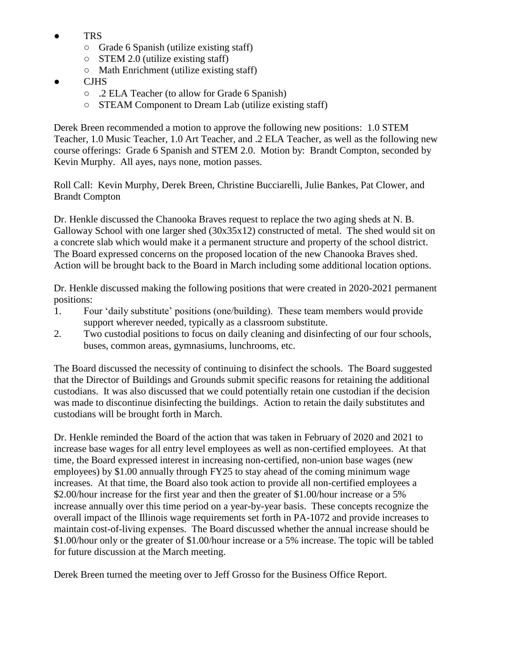- **TRS** 
	- Grade 6 Spanish (utilize existing staff)
	- $\circ$  STEM 2.0 (utilize existing staff)
	- Math Enrichment (utilize existing staff)
- **CJHS** 
	- .2 ELA Teacher (to allow for Grade 6 Spanish)
	- STEAM Component to Dream Lab (utilize existing staff)

Derek Breen recommended a motion to approve the following new positions: 1.0 STEM Teacher, 1.0 Music Teacher, 1.0 Art Teacher, and .2 ELA Teacher, as well as the following new course offerings: Grade 6 Spanish and STEM 2.0. Motion by: Brandt Compton, seconded by Kevin Murphy. All ayes, nays none, motion passes.

Roll Call: Kevin Murphy, Derek Breen, Christine Bucciarelli, Julie Bankes, Pat Clower, and Brandt Compton

Dr. Henkle discussed the Chanooka Braves request to replace the two aging sheds at N. B. Galloway School with one larger shed (30x35x12) constructed of metal. The shed would sit on a concrete slab which would make it a permanent structure and property of the school district. The Board expressed concerns on the proposed location of the new Chanooka Braves shed. Action will be brought back to the Board in March including some additional location options.

Dr. Henkle discussed making the following positions that were created in 2020-2021 permanent positions:

- 1. Four 'daily substitute' positions (one/building). These team members would provide support wherever needed, typically as a classroom substitute.
- 2. Two custodial positions to focus on daily cleaning and disinfecting of our four schools, buses, common areas, gymnasiums, lunchrooms, etc.

The Board discussed the necessity of continuing to disinfect the schools. The Board suggested that the Director of Buildings and Grounds submit specific reasons for retaining the additional custodians. It was also discussed that we could potentially retain one custodian if the decision was made to discontinue disinfecting the buildings. Action to retain the daily substitutes and custodians will be brought forth in March.

Dr. Henkle reminded the Board of the action that was taken in February of 2020 and 2021 to increase base wages for all entry level employees as well as non-certified employees. At that time, the Board expressed interest in increasing non-certified, non-union base wages (new employees) by \$1.00 annually through FY25 to stay ahead of the coming minimum wage increases. At that time, the Board also took action to provide all non-certified employees a \$2.00/hour increase for the first year and then the greater of \$1.00/hour increase or a 5% increase annually over this time period on a year-by-year basis. These concepts recognize the overall impact of the Illinois wage requirements set forth in PA-1072 and provide increases to maintain cost-of-living expenses. The Board discussed whether the annual increase should be \$1.00/hour only or the greater of \$1.00/hour increase or a 5% increase. The topic will be tabled for future discussion at the March meeting.

Derek Breen turned the meeting over to Jeff Grosso for the Business Office Report.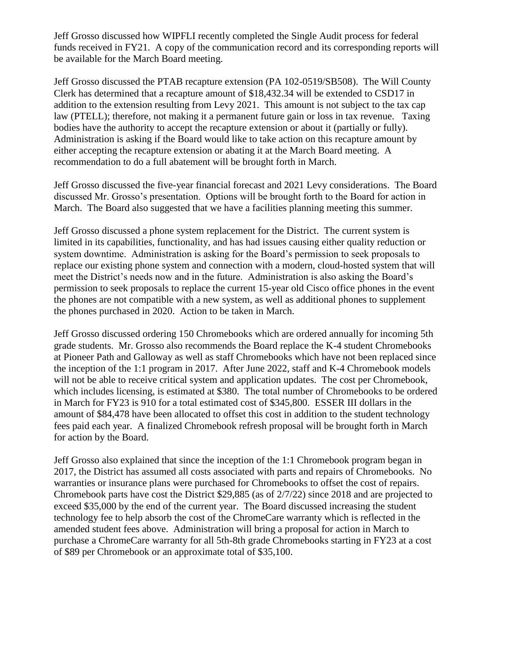Jeff Grosso discussed how WIPFLI recently completed the Single Audit process for federal funds received in FY21. A copy of the communication record and its corresponding reports will be available for the March Board meeting.

Jeff Grosso discussed the PTAB recapture extension (PA 102-0519/SB508). The Will County Clerk has determined that a recapture amount of \$18,432.34 will be extended to CSD17 in addition to the extension resulting from Levy 2021. This amount is not subject to the tax cap law (PTELL); therefore, not making it a permanent future gain or loss in tax revenue. Taxing bodies have the authority to accept the recapture extension or about it (partially or fully). Administration is asking if the Board would like to take action on this recapture amount by either accepting the recapture extension or abating it at the March Board meeting. A recommendation to do a full abatement will be brought forth in March.

Jeff Grosso discussed the five-year financial forecast and 2021 Levy considerations. The Board discussed Mr. Grosso's presentation. Options will be brought forth to the Board for action in March. The Board also suggested that we have a facilities planning meeting this summer.

Jeff Grosso discussed a phone system replacement for the District. The current system is limited in its capabilities, functionality, and has had issues causing either quality reduction or system downtime. Administration is asking for the Board's permission to seek proposals to replace our existing phone system and connection with a modern, cloud-hosted system that will meet the District's needs now and in the future. Administration is also asking the Board's permission to seek proposals to replace the current 15-year old Cisco office phones in the event the phones are not compatible with a new system, as well as additional phones to supplement the phones purchased in 2020. Action to be taken in March.

Jeff Grosso discussed ordering 150 Chromebooks which are ordered annually for incoming 5th grade students. Mr. Grosso also recommends the Board replace the K-4 student Chromebooks at Pioneer Path and Galloway as well as staff Chromebooks which have not been replaced since the inception of the 1:1 program in 2017. After June 2022, staff and K-4 Chromebook models will not be able to receive critical system and application updates. The cost per Chromebook, which includes licensing, is estimated at \$380. The total number of Chromebooks to be ordered in March for FY23 is 910 for a total estimated cost of \$345,800. ESSER III dollars in the amount of \$84,478 have been allocated to offset this cost in addition to the student technology fees paid each year. A finalized Chromebook refresh proposal will be brought forth in March for action by the Board.

Jeff Grosso also explained that since the inception of the 1:1 Chromebook program began in 2017, the District has assumed all costs associated with parts and repairs of Chromebooks. No warranties or insurance plans were purchased for Chromebooks to offset the cost of repairs. Chromebook parts have cost the District \$29,885 (as of 2/7/22) since 2018 and are projected to exceed \$35,000 by the end of the current year. The Board discussed increasing the student technology fee to help absorb the cost of the ChromeCare warranty which is reflected in the amended student fees above. Administration will bring a proposal for action in March to purchase a ChromeCare warranty for all 5th-8th grade Chromebooks starting in FY23 at a cost of \$89 per Chromebook or an approximate total of \$35,100.